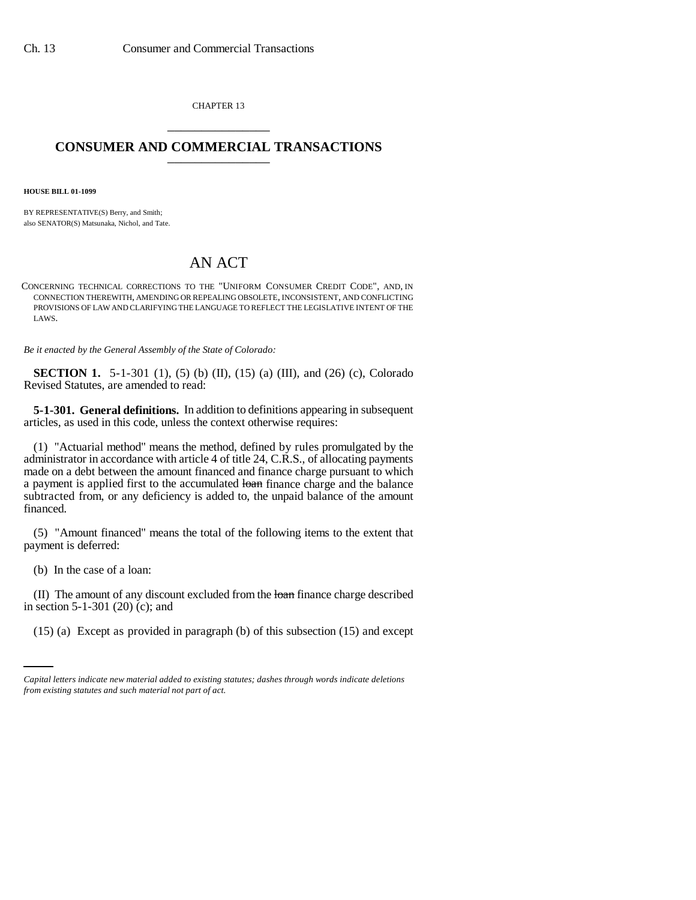CHAPTER 13 \_\_\_\_\_\_\_\_\_\_\_\_\_\_\_

## **CONSUMER AND COMMERCIAL TRANSACTIONS** \_\_\_\_\_\_\_\_\_\_\_\_\_\_\_

**HOUSE BILL 01-1099**

BY REPRESENTATIVE(S) Berry, and Smith; also SENATOR(S) Matsunaka, Nichol, and Tate.

## AN ACT

CONCERNING TECHNICAL CORRECTIONS TO THE "UNIFORM CONSUMER CREDIT CODE", AND, IN CONNECTION THEREWITH, AMENDING OR REPEALING OBSOLETE, INCONSISTENT, AND CONFLICTING PROVISIONS OF LAW AND CLARIFYING THE LANGUAGE TO REFLECT THE LEGISLATIVE INTENT OF THE LAWS.

*Be it enacted by the General Assembly of the State of Colorado:*

**SECTION 1.** 5-1-301 (1), (5) (b) (II), (15) (a) (III), and (26) (c), Colorado Revised Statutes, are amended to read:

**5-1-301. General definitions.** In addition to definitions appearing in subsequent articles, as used in this code, unless the context otherwise requires:

(1) "Actuarial method" means the method, defined by rules promulgated by the administrator in accordance with article 4 of title 24, C.R.S., of allocating payments made on a debt between the amount financed and finance charge pursuant to which a payment is applied first to the accumulated loan finance charge and the balance subtracted from, or any deficiency is added to, the unpaid balance of the amount financed.

(5) "Amount financed" means the total of the following items to the extent that payment is deferred:

(b) In the case of a loan:

in section 5-1-301 (20) (c); and (II) The amount of any discount excluded from the loan finance charge described

(15) (a) Except as provided in paragraph (b) of this subsection (15) and except

*Capital letters indicate new material added to existing statutes; dashes through words indicate deletions from existing statutes and such material not part of act.*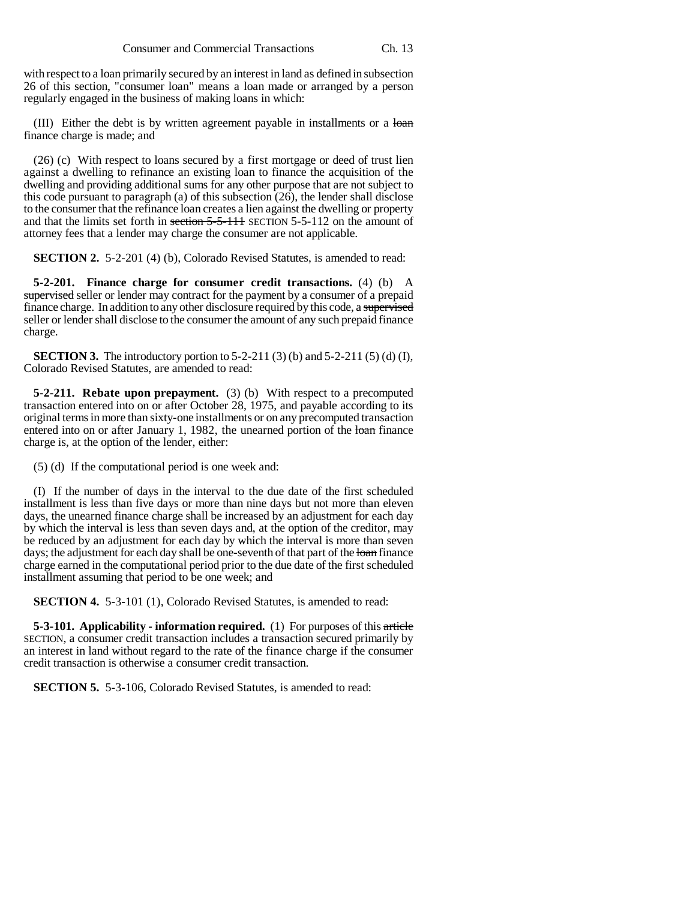with respect to a loan primarily secured by an interest in land as defined in subsection 26 of this section, "consumer loan" means a loan made or arranged by a person regularly engaged in the business of making loans in which:

(III) Either the debt is by written agreement payable in installments or a loan finance charge is made; and

(26) (c) With respect to loans secured by a first mortgage or deed of trust lien against a dwelling to refinance an existing loan to finance the acquisition of the dwelling and providing additional sums for any other purpose that are not subject to this code pursuant to paragraph (a) of this subsection (26), the lender shall disclose to the consumer that the refinance loan creates a lien against the dwelling or property and that the limits set forth in section  $5-5-111$  SECTION  $5-5-112$  on the amount of attorney fees that a lender may charge the consumer are not applicable.

**SECTION 2.** 5-2-201 (4) (b), Colorado Revised Statutes, is amended to read:

**5-2-201. Finance charge for consumer credit transactions.** (4) (b) A supervised seller or lender may contract for the payment by a consumer of a prepaid finance charge. In addition to any other disclosure required by this code, a supervised seller or lender shall disclose to the consumer the amount of any such prepaid finance charge.

**SECTION 3.** The introductory portion to 5-2-211 (3) (b) and 5-2-211 (5) (d) (I), Colorado Revised Statutes, are amended to read:

**5-2-211. Rebate upon prepayment.** (3) (b) With respect to a precomputed transaction entered into on or after October 28, 1975, and payable according to its original terms in more than sixty-one installments or on any precomputed transaction entered into on or after January 1, 1982, the unearned portion of the loan finance charge is, at the option of the lender, either:

(5) (d) If the computational period is one week and:

(I) If the number of days in the interval to the due date of the first scheduled installment is less than five days or more than nine days but not more than eleven days, the unearned finance charge shall be increased by an adjustment for each day by which the interval is less than seven days and, at the option of the creditor, may be reduced by an adjustment for each day by which the interval is more than seven days; the adjustment for each day shall be one-seventh of that part of the loan finance charge earned in the computational period prior to the due date of the first scheduled installment assuming that period to be one week; and

**SECTION 4.** 5-3-101 (1), Colorado Revised Statutes, is amended to read:

**5-3-101. Applicability - information required.** (1) For purposes of this article SECTION, a consumer credit transaction includes a transaction secured primarily by an interest in land without regard to the rate of the finance charge if the consumer credit transaction is otherwise a consumer credit transaction.

**SECTION 5.** 5-3-106, Colorado Revised Statutes, is amended to read: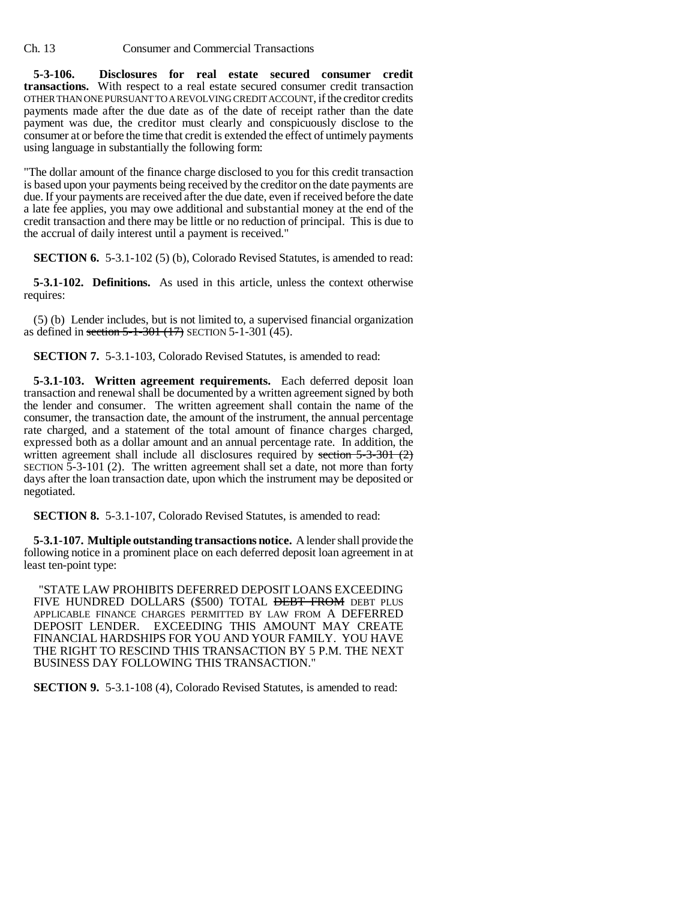Ch. 13 Consumer and Commercial Transactions

**5-3-106. Disclosures for real estate secured consumer credit transactions.** With respect to a real estate secured consumer credit transaction OTHER THAN ONE PURSUANT TO A REVOLVING CREDIT ACCOUNT, if the creditor credits payments made after the due date as of the date of receipt rather than the date payment was due, the creditor must clearly and conspicuously disclose to the consumer at or before the time that credit is extended the effect of untimely payments using language in substantially the following form:

"The dollar amount of the finance charge disclosed to you for this credit transaction is based upon your payments being received by the creditor on the date payments are due. If your payments are received after the due date, even if received before the date a late fee applies, you may owe additional and substantial money at the end of the credit transaction and there may be little or no reduction of principal. This is due to the accrual of daily interest until a payment is received."

**SECTION 6.** 5-3.1-102 (5) (b), Colorado Revised Statutes, is amended to read:

**5-3.1-102. Definitions.** As used in this article, unless the context otherwise requires:

(5) (b) Lender includes, but is not limited to, a supervised financial organization as defined in section 5-1-301 (17) SECTION 5-1-301 (45).

**SECTION 7.** 5-3.1-103, Colorado Revised Statutes, is amended to read:

**5-3.1-103. Written agreement requirements.** Each deferred deposit loan transaction and renewal shall be documented by a written agreement signed by both the lender and consumer. The written agreement shall contain the name of the consumer, the transaction date, the amount of the instrument, the annual percentage rate charged, and a statement of the total amount of finance charges charged, expressed both as a dollar amount and an annual percentage rate. In addition, the written agreement shall include all disclosures required by section  $5-3-301$  (2) SECTION 5-3-101 (2). The written agreement shall set a date, not more than forty days after the loan transaction date, upon which the instrument may be deposited or negotiated.

**SECTION 8.** 5-3.1-107, Colorado Revised Statutes, is amended to read:

**5-3.1-107. Multiple outstanding transactions notice.** A lender shall provide the following notice in a prominent place on each deferred deposit loan agreement in at least ten-point type:

 "STATE LAW PROHIBITS DEFERRED DEPOSIT LOANS EXCEEDING FIVE HUNDRED DOLLARS (\$500) TOTAL **DEBT FROM** DEBT PLUS APPLICABLE FINANCE CHARGES PERMITTED BY LAW FROM A DEFERRED DEPOSIT LENDER. EXCEEDING THIS AMOUNT MAY CREATE FINANCIAL HARDSHIPS FOR YOU AND YOUR FAMILY. YOU HAVE THE RIGHT TO RESCIND THIS TRANSACTION BY 5 P.M. THE NEXT BUSINESS DAY FOLLOWING THIS TRANSACTION."

**SECTION 9.** 5-3.1-108 (4), Colorado Revised Statutes, is amended to read: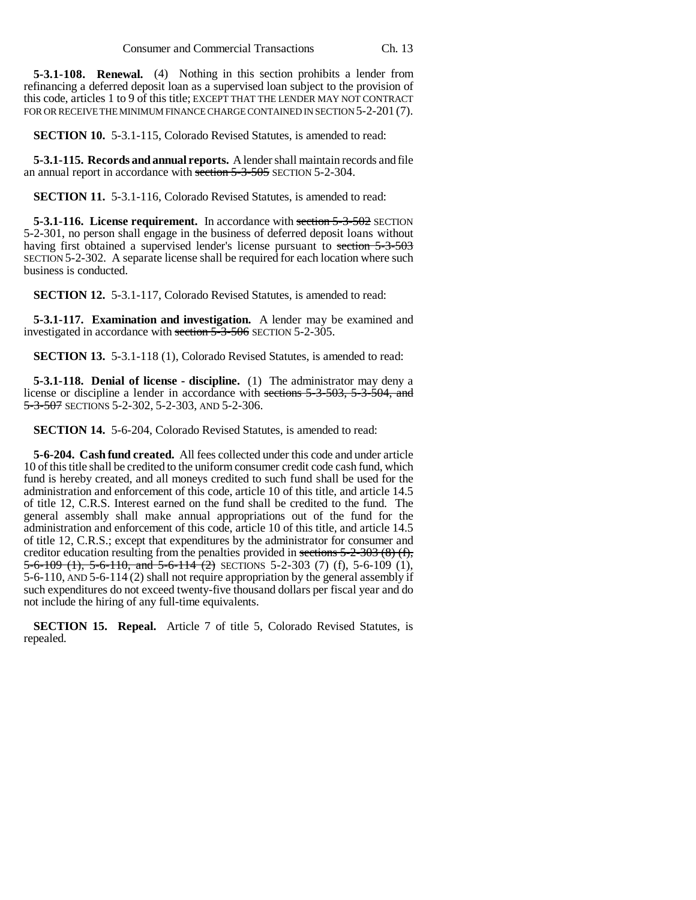**5-3.1-108. Renewal.** (4) Nothing in this section prohibits a lender from refinancing a deferred deposit loan as a supervised loan subject to the provision of this code, articles 1 to 9 of this title; EXCEPT THAT THE LENDER MAY NOT CONTRACT FOR OR RECEIVE THE MINIMUM FINANCE CHARGE CONTAINED IN SECTION 5-2-201 (7).

**SECTION 10.** 5-3.1-115, Colorado Revised Statutes, is amended to read:

**5-3.1-115. Records and annual reports.** A lender shall maintain records and file an annual report in accordance with section 5-3-505 SECTION 5-2-304.

**SECTION 11.** 5-3.1-116, Colorado Revised Statutes, is amended to read:

**5-3.1-116. License requirement.** In accordance with section 5-3-502 SECTION 5-2-301, no person shall engage in the business of deferred deposit loans without having first obtained a supervised lender's license pursuant to section 5-3-503 SECTION 5-2-302. A separate license shall be required for each location where such business is conducted.

**SECTION 12.** 5-3.1-117, Colorado Revised Statutes, is amended to read:

**5-3.1-117. Examination and investigation.** A lender may be examined and investigated in accordance with section 5-3-506 SECTION 5-2-305.

**SECTION 13.** 5-3.1-118 (1), Colorado Revised Statutes, is amended to read:

**5-3.1-118. Denial of license - discipline.** (1) The administrator may deny a license or discipline a lender in accordance with sections 5-3-503, 5-3-504, and 5-3-507 SECTIONS 5-2-302, 5-2-303, AND 5-2-306.

**SECTION 14.** 5-6-204, Colorado Revised Statutes, is amended to read:

**5-6-204. Cash fund created.** All fees collected under this code and under article 10 of this title shall be credited to the uniform consumer credit code cash fund, which fund is hereby created, and all moneys credited to such fund shall be used for the administration and enforcement of this code, article 10 of this title, and article 14.5 of title 12, C.R.S. Interest earned on the fund shall be credited to the fund. The general assembly shall make annual appropriations out of the fund for the administration and enforcement of this code, article 10 of this title, and article 14.5 of title 12, C.R.S.; except that expenditures by the administrator for consumer and creditor education resulting from the penalties provided in sections  $5-2-303$  (8) (f), 5-6-109 (1), 5-6-110, and 5-6-114 (2) SECTIONS 5-2-303 (7) (f), 5-6-109 (1), 5-6-110, AND 5-6-114 (2) shall not require appropriation by the general assembly if such expenditures do not exceed twenty-five thousand dollars per fiscal year and do not include the hiring of any full-time equivalents.

**SECTION 15. Repeal.** Article 7 of title 5, Colorado Revised Statutes, is repealed.